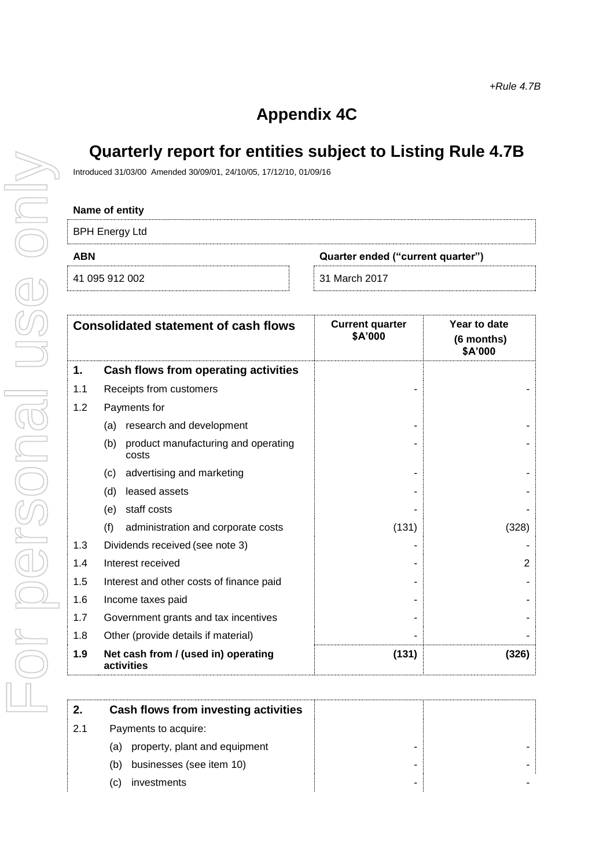## **Appendix 4C**

## **Quarterly report for entities subject to Listing Rule 4.7B**

Introduced 31/03/00 Amended 30/09/01, 24/10/05, 17/12/10, 01/09/16

| <b>BPH Energy Ltd</b> |                                   |
|-----------------------|-----------------------------------|
| <b>ABN</b>            | Quarter ended ("current quarter") |
| 41 095 912 002        | 31 March 2017                     |

| <b>Consolidated statement of cash flows</b> |                                                     | <b>Current quarter</b><br>\$A'000 | Year to date<br>(6 months)<br>\$A'000 |
|---------------------------------------------|-----------------------------------------------------|-----------------------------------|---------------------------------------|
| 1.                                          | Cash flows from operating activities                |                                   |                                       |
| 1.1                                         | Receipts from customers                             |                                   |                                       |
| 1.2                                         | Payments for                                        |                                   |                                       |
|                                             | research and development<br>(a)                     |                                   |                                       |
|                                             | product manufacturing and operating<br>(b)<br>costs |                                   |                                       |
|                                             | advertising and marketing<br>(c)                    |                                   |                                       |
|                                             | (d)<br>leased assets                                |                                   |                                       |
|                                             | staff costs<br>(e)                                  |                                   |                                       |
|                                             | (f)<br>administration and corporate costs           | (131)                             | (328)                                 |
| 1.3                                         | Dividends received (see note 3)                     |                                   |                                       |
| 1.4                                         | Interest received                                   |                                   | $\overline{2}$                        |
| 1.5                                         | Interest and other costs of finance paid            |                                   |                                       |
| 1.6                                         | Income taxes paid                                   |                                   |                                       |
| 1.7                                         | Government grants and tax incentives                |                                   |                                       |
| 1.8                                         | Other (provide details if material)                 |                                   |                                       |
| 1.9                                         | Net cash from / (used in) operating<br>activities   | (131)                             | (326)                                 |

|     | Cash flows from investing activities |  |
|-----|--------------------------------------|--|
| 2.1 | Payments to acquire:                 |  |
|     | property, plant and equipment<br>(a) |  |
|     | businesses (see item 10)<br>(b)      |  |
|     | investments<br>(C)                   |  |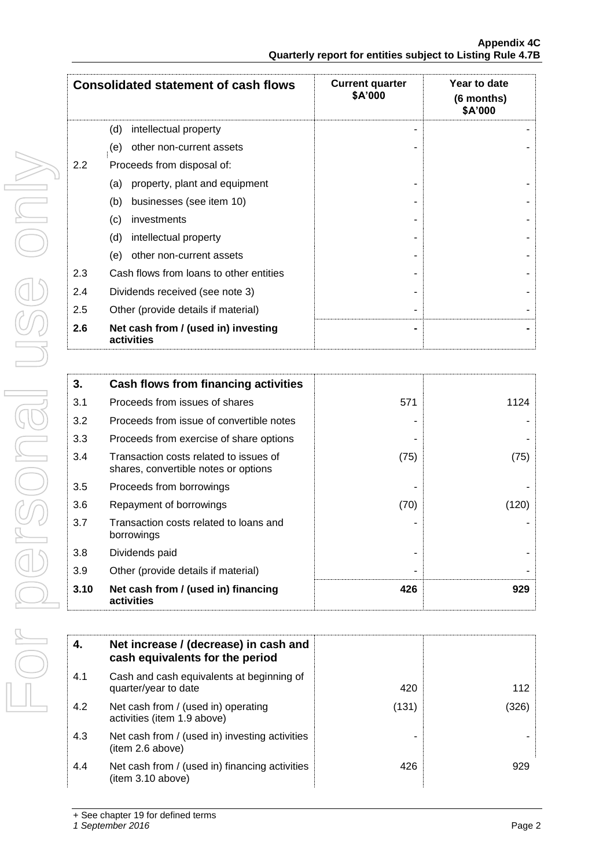|     | <b>Consolidated statement of cash flows</b>       | <b>Current quarter</b><br>\$A'000 | Year to date<br>(6 months)<br>\$A'000 |
|-----|---------------------------------------------------|-----------------------------------|---------------------------------------|
|     | (d)<br>intellectual property                      |                                   |                                       |
|     | other non-current assets<br>(e)                   |                                   |                                       |
| 2.2 | Proceeds from disposal of:                        |                                   |                                       |
|     | property, plant and equipment<br>(a)              |                                   |                                       |
|     | (b)<br>businesses (see item 10)                   |                                   |                                       |
|     | investments<br>(c)                                |                                   |                                       |
|     | (d)<br>intellectual property                      |                                   |                                       |
|     | other non-current assets<br>(e)                   |                                   |                                       |
| 2.3 | Cash flows from loans to other entities           |                                   |                                       |
| 2.4 | Dividends received (see note 3)                   |                                   |                                       |
| 2.5 | Other (provide details if material)               |                                   |                                       |
| 2.6 | Net cash from / (used in) investing<br>activities |                                   |                                       |

| 3.   | Cash flows from financing activities                                           |      |       |
|------|--------------------------------------------------------------------------------|------|-------|
| 3.1  | Proceeds from issues of shares                                                 | 571  | 1124  |
| 3.2  | Proceeds from issue of convertible notes                                       |      |       |
| 3.3  | Proceeds from exercise of share options                                        |      |       |
| 3.4  | Transaction costs related to issues of<br>shares, convertible notes or options | (75) | (75)  |
| 3.5  | Proceeds from borrowings                                                       |      |       |
| 3.6  | Repayment of borrowings                                                        | (70) | (120) |
| 3.7  | Transaction costs related to loans and<br>borrowings                           |      |       |
| 3.8  | Dividends paid                                                                 |      |       |
| 3.9  | Other (provide details if material)                                            |      |       |
| 3.10 | Net cash from / (used in) financing<br>activities                              | 426  | 929   |

| 4.  | Net increase / (decrease) in cash and<br>cash equivalents for the period |       |       |
|-----|--------------------------------------------------------------------------|-------|-------|
| 4.1 | Cash and cash equivalents at beginning of<br>quarter/year to date        | 420   | 112   |
| 4.2 | Net cash from / (used in) operating<br>activities (item 1.9 above)       | (131) | (326) |
| 4.3 | Net cash from / (used in) investing activities<br>(item 2.6 above)       |       |       |
| 4.4 | Net cash from / (used in) financing activities<br>(item 3.10 above)      | 426   | 929   |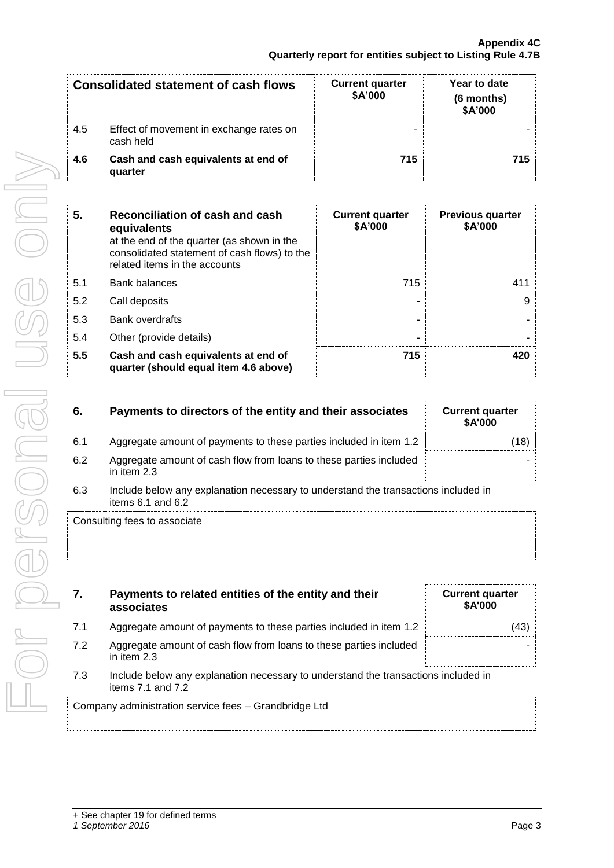|     | Consolidated statement of cash flows                 | <b>Current quarter</b><br>\$A'000 | Year to date<br>(6 months)<br>\$A'000 |
|-----|------------------------------------------------------|-----------------------------------|---------------------------------------|
| 4.5 | Effect of movement in exchange rates on<br>cash held |                                   |                                       |
| 4.6 | Cash and cash equivalents at end of<br>quarter       | 715                               | 715.                                  |

| 5.  | Reconciliation of cash and cash<br>equivalents<br>at the end of the quarter (as shown in the<br>consolidated statement of cash flows) to the<br>related items in the accounts | <b>Current quarter</b><br><b>\$A'000</b> | <b>Previous quarter</b><br>\$A'000 |
|-----|-------------------------------------------------------------------------------------------------------------------------------------------------------------------------------|------------------------------------------|------------------------------------|
| 5.1 | <b>Bank balances</b>                                                                                                                                                          | 715                                      | 411                                |
| 5.2 | Call deposits                                                                                                                                                                 |                                          | 9                                  |
| 5.3 | <b>Bank overdrafts</b>                                                                                                                                                        |                                          |                                    |
| 5.4 | Other (provide details)                                                                                                                                                       | -                                        |                                    |
| 5.5 | Cash and cash equivalents at end of<br>quarter (should equal item 4.6 above)                                                                                                  | 715                                      | 420                                |

| 6.  | Payments to directors of the entity and their associates                                                    | <b>Current quarter</b><br>\$A'000 |
|-----|-------------------------------------------------------------------------------------------------------------|-----------------------------------|
| 6.1 | Aggregate amount of payments to these parties included in item 1.2                                          | (18)                              |
| 6.2 | Aggregate amount of cash flow from loans to these parties included<br>in item $2.3$                         |                                   |
| 6.3 | Include below any explanation necessary to understand the transactions included in<br>items $6.1$ and $6.2$ |                                   |

Consulting fees to associate

| 7.  | Payments to related entities of the entity and their<br>associates                                          | <b>Current quarter</b><br><b>\$A'000</b> |
|-----|-------------------------------------------------------------------------------------------------------------|------------------------------------------|
| 7.1 | Aggregate amount of payments to these parties included in item 1.2                                          | 43)                                      |
| 7.2 | Aggregate amount of cash flow from loans to these parties included<br>in item 2.3                           |                                          |
| 7.3 | Include below any explanation necessary to understand the transactions included in<br>items $7.1$ and $7.2$ |                                          |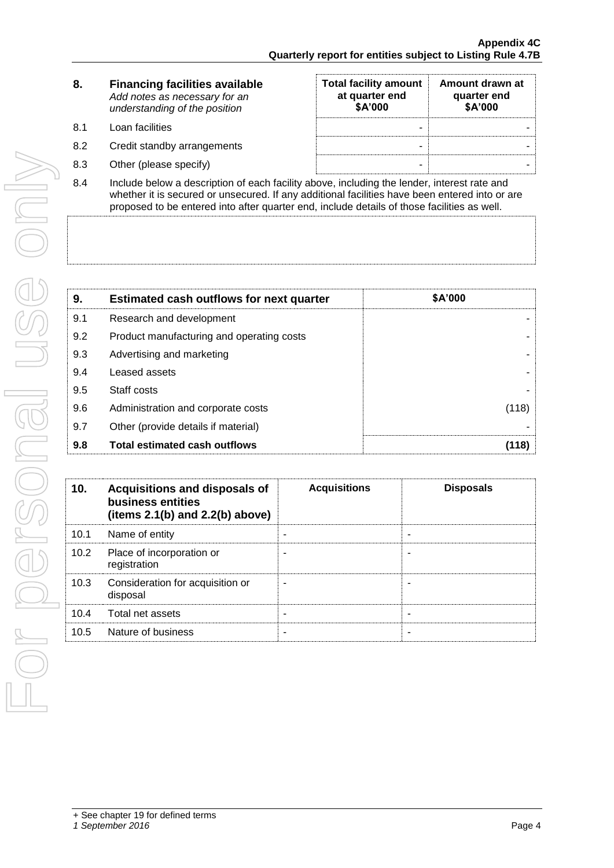| 8. | <b>Financing facilities available</b> |
|----|---------------------------------------|
|    | Add notes as necessary for an         |
|    | understanding of the position         |
|    |                                       |

- 8.1 Loan facilities
- 8.2 Credit standby arrangements
- 8.3 Other (please specify)

| <b>Total facility amount</b><br>at quarter end<br>\$A'000 | Amount drawn at<br>quarter end<br>\$A'000 |
|-----------------------------------------------------------|-------------------------------------------|
|                                                           |                                           |
|                                                           |                                           |
|                                                           |                                           |

8.4 Include below a description of each facility above, including the lender, interest rate and whether it is secured or unsecured. If any additional facilities have been entered into or are proposed to be entered into after quarter end, include details of those facilities as well.

| 9.  | <b>Estimated cash outflows for next quarter</b> | <b>\$A'000</b> |
|-----|-------------------------------------------------|----------------|
| 9.1 | Research and development                        |                |
| 9.2 | Product manufacturing and operating costs       |                |
| 9.3 | Advertising and marketing                       |                |
| 9.4 | Leased assets                                   |                |
| 9.5 | Staff costs                                     |                |
| 9.6 | Administration and corporate costs              | (118)          |
| 9.7 | Other (provide details if material)             |                |
| 9.8 | <b>Total estimated cash outflows</b>            | (118)          |

| 10.  | Acquisitions and disposals of<br>business entities<br>(items $2.1(b)$ and $2.2(b)$ above) | <b>Acquisitions</b> | <b>Disposals</b> |
|------|-------------------------------------------------------------------------------------------|---------------------|------------------|
| 10.1 | Name of entity                                                                            |                     |                  |
| 10.2 | Place of incorporation or<br>registration                                                 |                     |                  |
| 10.3 | Consideration for acquisition or<br>disposal                                              |                     |                  |
| 10.4 | Total net assets                                                                          |                     |                  |
| 10.5 | Nature of business                                                                        |                     |                  |